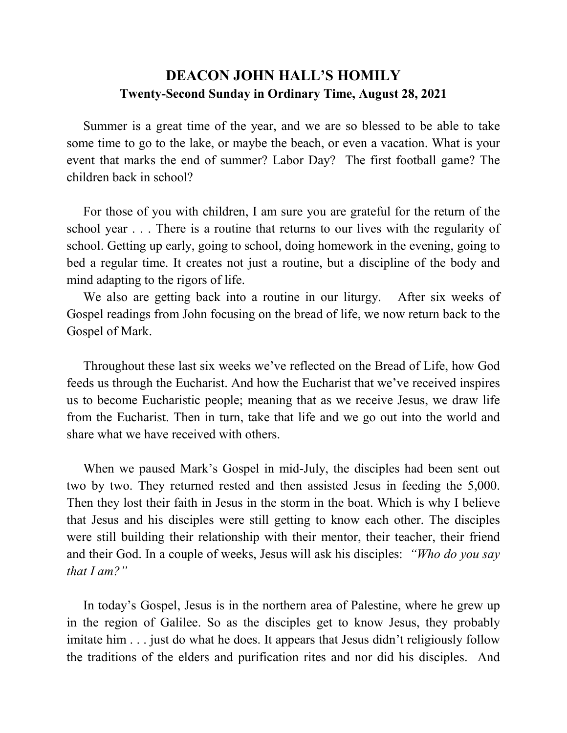## **DEACON JOHN HALL'S HOMILY Twenty-Second Sunday in Ordinary Time, August 28, 2021**

 Summer is a great time of the year, and we are so blessed to be able to take some time to go to the lake, or maybe the beach, or even a vacation. What is your event that marks the end of summer? Labor Day? The first football game? The children back in school?

 For those of you with children, I am sure you are grateful for the return of the school year . . . There is a routine that returns to our lives with the regularity of school. Getting up early, going to school, doing homework in the evening, going to bed a regular time. It creates not just a routine, but a discipline of the body and mind adapting to the rigors of life.

 We also are getting back into a routine in our liturgy. After six weeks of Gospel readings from John focusing on the bread of life, we now return back to the Gospel of Mark.

 Throughout these last six weeks we've reflected on the Bread of Life, how God feeds us through the Eucharist. And how the Eucharist that we've received inspires us to become Eucharistic people; meaning that as we receive Jesus, we draw life from the Eucharist. Then in turn, take that life and we go out into the world and share what we have received with others.

 When we paused Mark's Gospel in mid-July, the disciples had been sent out two by two. They returned rested and then assisted Jesus in feeding the 5,000. Then they lost their faith in Jesus in the storm in the boat. Which is why I believe that Jesus and his disciples were still getting to know each other. The disciples were still building their relationship with their mentor, their teacher, their friend and their God. In a couple of weeks, Jesus will ask his disciples: *"Who do you say that I am?"*

 In today's Gospel, Jesus is in the northern area of Palestine, where he grew up in the region of Galilee. So as the disciples get to know Jesus, they probably imitate him  $\ldots$  just do what he does. It appears that Jesus didn't religiously follow the traditions of the elders and purification rites and nor did his disciples. And